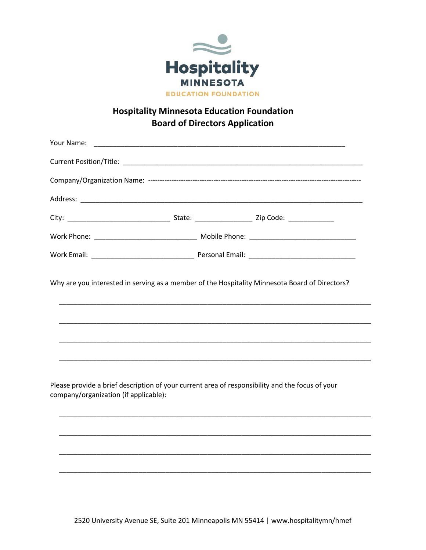

## **Hospitality Minnesota Education Foundation Board of Directors Application**

|                                       | Why are you interested in serving as a member of the Hospitality Minnesota Board of Directors?  |  |  |  |
|---------------------------------------|-------------------------------------------------------------------------------------------------|--|--|--|
|                                       |                                                                                                 |  |  |  |
| company/organization (if applicable): | Please provide a brief description of your current area of responsibility and the focus of your |  |  |  |
|                                       |                                                                                                 |  |  |  |
|                                       |                                                                                                 |  |  |  |
|                                       |                                                                                                 |  |  |  |
|                                       |                                                                                                 |  |  |  |